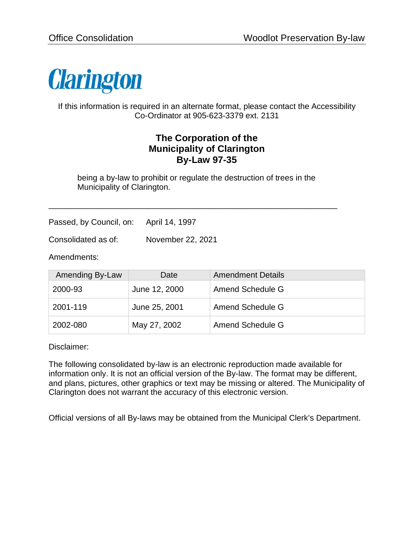

If this information is required in an alternate format, please contact the Accessibility Co-Ordinator at 905-623-3379 ext. 2131

# **The Corporation of the Municipality of Clarington By-Law 97-35**

being a by-law to prohibit or regulate the destruction of trees in the Municipality of Clarington.

\_\_\_\_\_\_\_\_\_\_\_\_\_\_\_\_\_\_\_\_\_\_\_\_\_\_\_\_\_\_\_\_\_\_\_\_\_\_\_\_\_\_\_\_\_\_\_\_\_\_\_\_\_\_\_\_\_\_\_\_\_\_\_\_

Passed, by Council, on: April 14, 1997

Consolidated as of: November 22, 2021

Amendments:

| Amending By-Law | Date          | <b>Amendment Details</b> |
|-----------------|---------------|--------------------------|
| 2000-93         | June 12, 2000 | Amend Schedule G         |
| 2001-119        | June 25, 2001 | Amend Schedule G         |
| 2002-080        | May 27, 2002  | Amend Schedule G         |

Disclaimer:

The following consolidated by-law is an electronic reproduction made available for information only. It is not an official version of the By-law. The format may be different, and plans, pictures, other graphics or text may be missing or altered. The Municipality of Clarington does not warrant the accuracy of this electronic version.

Official versions of all By-laws may be obtained from the Municipal Clerk's Department.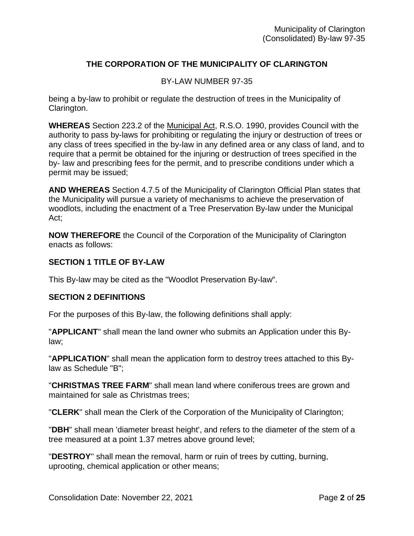## **THE CORPORATION OF THE MUNICIPALITY OF CLARINGTON**

### BY-LAW NUMBER 97-35

being a by-law to prohibit or regulate the destruction of trees in the Municipality of Clarington.

**WHEREAS** Section 223.2 of the Municipal Act, R.S.O. 1990, provides Council with the authority to pass by-laws for prohibiting or regulating the injury or destruction of trees or any class of trees specified in the by-law in any defined area or any class of land, and to require that a permit be obtained for the injuring or destruction of trees specified in the by- law and prescribing fees for the permit, and to prescribe conditions under which a permit may be issued;

**AND WHEREAS** Section 4.7.5 of the Municipality of Clarington Official Plan states that the Municipality will pursue a variety of mechanisms to achieve the preservation of woodlots, including the enactment of a Tree Preservation By-law under the Municipal Act;

**NOW THEREFORE** the Council of the Corporation of the Municipality of Clarington enacts as follows:

### **SECTION 1 TITLE OF BY-LAW**

This By-law may be cited as the "Woodlot Preservation By-law".

#### **SECTION 2 DEFINITIONS**

For the purposes of this By-law, the following definitions shall apply:

"**APPLICANT**" shall mean the land owner who submits an Application under this Bylaw;

"**APPLICATION**" shall mean the application form to destroy trees attached to this Bylaw as Schedule "B";

"**CHRISTMAS TREE FARM**" shall mean land where coniferous trees are grown and maintained for sale as Christmas trees;

"**CLERK**" shall mean the Clerk of the Corporation of the Municipality of Clarington;

"**DBH**" shall mean 'diameter breast height', and refers to the diameter of the stem of a tree measured at a point 1.37 metres above ground level;

"**DESTROY**'' shall mean the removal, harm or ruin of trees by cutting, burning, uprooting, chemical application or other means;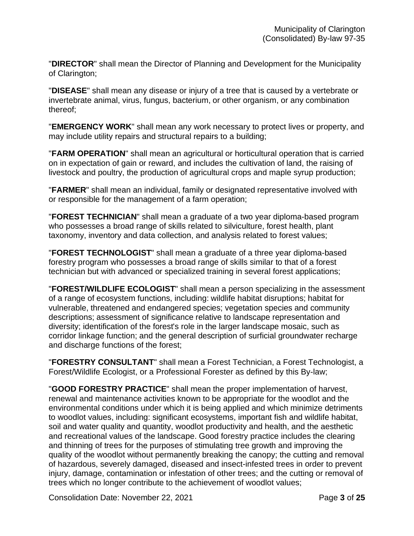"**DIRECTOR**" shall mean the Director of Planning and Development for the Municipality of Clarington;

"**DISEASE**" shall mean any disease or injury of a tree that is caused by a vertebrate or invertebrate animal, virus, fungus, bacterium, or other organism, or any combination thereof;

"**EMERGENCY WORK**" shall mean any work necessary to protect lives or property, and may include utility repairs and structural repairs to a building;

"**FARM OPERATION**" shall mean an agricultural or horticultural operation that is carried on in expectation of gain or reward, and includes the cultivation of land, the raising of livestock and poultry, the production of agricultural crops and maple syrup production;

"**FARMER**" shall mean an individual, family or designated representative involved with or responsible for the management of a farm operation;

"**FOREST TECHNICIAN**" shall mean a graduate of a two year diploma-based program who possesses a broad range of skills related to silviculture, forest health, plant taxonomy, inventory and data collection, and analysis related to forest values;

"**FOREST TECHNOLOGIST**" shall mean a graduate of a three year diploma-based forestry program who possesses a broad range of skills similar to that of a forest technician but with advanced or specialized training in several forest applications;

"**FOREST/WILDLIFE ECOLOGIST**" shall mean a person specializing in the assessment of a range of ecosystem functions, including: wildlife habitat disruptions; habitat for vulnerable, threatened and endangered species; vegetation species and community descriptions; assessment of significance relative to landscape representation and diversity; identification of the forest's role in the larger landscape mosaic, such as corridor linkage function; and the general description of surficial groundwater recharge and discharge functions of the forest;

"**FORESTRY CONSULTANT**" shall mean a Forest Technician, a Forest Technologist, a Forest/Wildlife Ecologist, or a Professional Forester as defined by this By-law;

"**GOOD FORESTRY PRACTICE**" shall mean the proper implementation of harvest, renewal and maintenance activities known to be appropriate for the woodlot and the environmental conditions under which it is being applied and which minimize detriments to woodlot values, including: significant ecosystems, important fish and wildlife habitat, soil and water quality and quantity, woodlot productivity and health, and the aesthetic and recreational values of the landscape. Good forestry practice includes the clearing and thinning of trees for the purposes of stimulating tree growth and improving the quality of the woodlot without permanently breaking the canopy; the cutting and removal of hazardous, severely damaged, diseased and insect-infested trees in order to prevent injury, damage, contamination or infestation of other trees; and the cutting or removal of trees which no longer contribute to the achievement of woodlot values;

Consolidation Date: November 22, 2021 **Page 3** of 25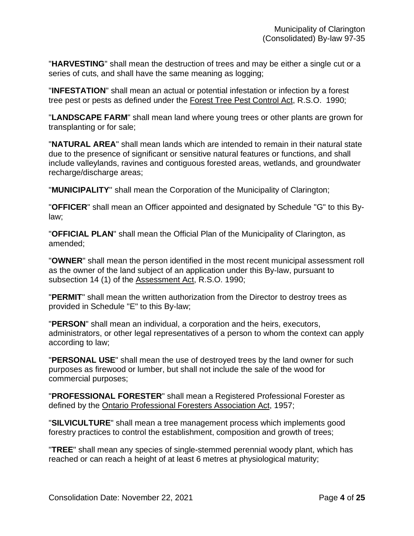"**HARVESTING**" shall mean the destruction of trees and may be either a single cut or a series of cuts, and shall have the same meaning as logging;

"**INFESTATION**" shall mean an actual or potential infestation or infection by a forest tree pest or pests as defined under the Forest Tree Pest Control Act, R.S.O. 1990;

"**LANDSCAPE FARM**" shall mean land where young trees or other plants are grown for transplanting or for sale;

"**NATURAL AREA**" shall mean lands which are intended to remain in their natural state due to the presence of significant or sensitive natural features or functions, and shall include valleylands, ravines and contiguous forested areas, wetlands, and groundwater recharge/discharge areas;

"**MUNICIPALITY**'' shall mean the Corporation of the Municipality of Clarington;

"**OFFICER**" shall mean an Officer appointed and designated by Schedule "G" to this Bylaw;

"**OFFICIAL PLAN**" shall mean the Official Plan of the Municipality of Clarington, as amended;

"**OWNER**" shall mean the person identified in the most recent municipal assessment roll as the owner of the land subject of an application under this By-law, pursuant to subsection 14 (1) of the Assessment Act, R.S.O. 1990;

"**PERMIT**" shall mean the written authorization from the Director to destroy trees as provided in Schedule "E" to this By-law;

"**PERSON**" shall mean an individual, a corporation and the heirs, executors, administrators, or other legal representatives of a person to whom the context can apply according to law;

"**PERSONAL USE**" shall mean the use of destroyed trees by the land owner for such purposes as firewood or lumber, but shall not include the sale of the wood for commercial purposes;

"**PROFESSIONAL FORESTER**" shall mean a Registered Professional Forester as defined by the Ontario Professional Foresters Association Act, 1957;

"**SILVICULTURE**" shall mean a tree management process which implements good forestry practices to control the establishment, composition and growth of trees;

"**TREE**" shall mean any species of single-stemmed perennial woody plant, which has reached or can reach a height of at least 6 metres at physiological maturity;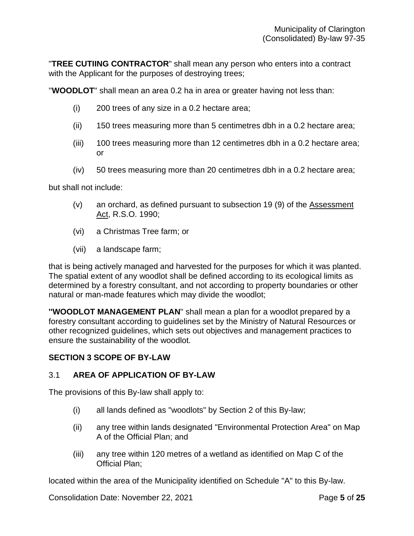"**TREE CUTIING CONTRACTOR**" shall mean any person who enters into a contract with the Applicant for the purposes of destroying trees;

''**WOODLOT**" shall mean an area 0.2 ha in area or greater having not less than:

- (i) 200 trees of any size in a 0.2 hectare area;
- (ii) 150 trees measuring more than 5 centimetres dbh in a 0.2 hectare area;
- (iii) 100 trees measuring more than 12 centimetres dbh in a 0.2 hectare area; or
- (iv) 50 trees measuring more than 20 centimetres dbh in a 0.2 hectare area;

but shall not include:

- (v) an orchard, as defined pursuant to subsection 19 (9) of the Assessment Act, R.S.O. 1990;
- (vi) a Christmas Tree farm; or
- (vii) a landscape farm;

that is being actively managed and harvested for the purposes for which it was planted. The spatial extent of any woodlot shall be defined according to its ecological limits as determined by a forestry consultant, and not according to property boundaries or other natural or man-made features which may divide the woodlot;

**''WOODLOT MANAGEMENT PLAN**" shall mean a plan for a woodlot prepared by a forestry consultant according to guidelines set by the Ministry of Natural Resources or other recognized guidelines, which sets out objectives and management practices to ensure the sustainability of the woodlot.

### **SECTION 3 SCOPE OF BY-LAW**

#### 3.1 **AREA OF APPLICATION OF BY-LAW**

The provisions of this By-law shall apply to:

- (i) all lands defined as "woodlots" by Section 2 of this By-law;
- (ii) any tree within lands designated "Environmental Protection Area" on Map A of the Official Plan; and
- (iii) any tree within 120 metres of a wetland as identified on Map C of the Official Plan;

located within the area of the Municipality identified on Schedule "A" to this By-law.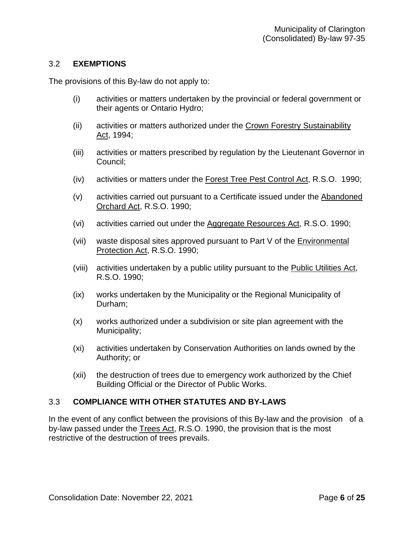## 3.2 **EXEMPTIONS**

The provisions of this By-law do not apply to:

- (i) activities or matters undertaken by the provincial or federal government or their agents or Ontario Hydro;
- (ii) activities or matters authorized under the Crown Forestry Sustainability Act, 1994;
- (iii) activities or matters prescribed by regulation by the Lieutenant Governor in Council;
- (iv) activities or matters under the Forest Tree Pest Control Act, R.S.O. 1990;
- (v) activities carried out pursuant to a Certificate issued under the Abandoned Orchard Act, R.S.O. 1990;
- (vi) activities carried out under the Aggregate Resources Act, R.S.O. 1990;
- (vii) waste disposal sites approved pursuant to Part V of the Environmental Protection Act, R.S.O. 1990;
- (viii) activities undertaken by a public utility pursuant to the Public Utilities Act, R.S.O. 1990;
- (ix) works undertaken by the Municipality or the Regional Municipality of Durham;
- (x) works authorized under a subdivision or site plan agreement with the Municipality;
- (xi) activities undertaken by Conservation Authorities on lands owned by the Authority; or
- (xii) the destruction of trees due to emergency work authorized by the Chief Building Official or the Director of Public Works.

## 3.3 **COMPLIANCE WITH OTHER STATUTES AND BY-LAWS**

In the event of any conflict between the provisions of this By-law and the provision of a by-law passed under the Trees Act, R.S.O. 1990, the provision that is the most restrictive of the destruction of trees prevails.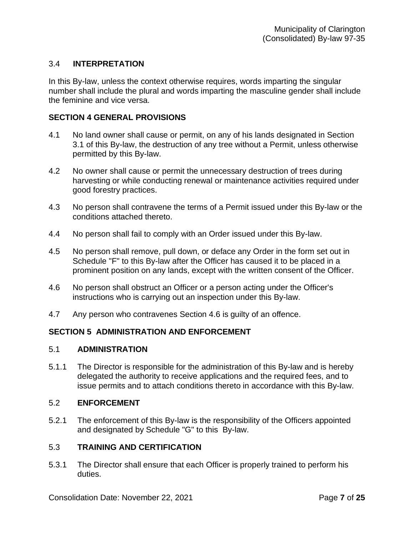## 3.4 **INTERPRETATION**

In this By-law, unless the context otherwise requires, words imparting the singular number shall include the plural and words imparting the masculine gender shall include the feminine and vice versa.

### **SECTION 4 GENERAL PROVISIONS**

- 4.1 No land owner shall cause or permit, on any of his lands designated in Section 3.1 of this By-law, the destruction of any tree without a Permit, unless otherwise permitted by this By-law.
- 4.2 No owner shall cause or permit the unnecessary destruction of trees during harvesting or while conducting renewal or maintenance activities required under good forestry practices.
- 4.3 No person shall contravene the terms of a Permit issued under this By-law or the conditions attached thereto.
- 4.4 No person shall fail to comply with an Order issued under this By-law.
- 4.5 No person shall remove, pull down, or deface any Order in the form set out in Schedule "F" to this By-law after the Officer has caused it to be placed in a prominent position on any lands, except with the written consent of the Officer.
- 4.6 No person shall obstruct an Officer or a person acting under the Officer's instructions who is carrying out an inspection under this By-law.
- 4.7 Any person who contravenes Section 4.6 is guilty of an offence.

## **SECTION 5 ADMINISTRATION AND ENFORCEMENT**

#### 5.1 **ADMINISTRATION**

5.1.1 The Director is responsible for the administration of this By-law and is hereby delegated the authority to receive applications and the required fees, and to issue permits and to attach conditions thereto in accordance with this By-law.

#### 5.2 **ENFORCEMENT**

5.2.1 The enforcement of this By-law is the responsibility of the Officers appointed and designated by Schedule "G" to this By-law.

#### 5.3 **TRAINING AND CERTIFICATION**

5.3.1 The Director shall ensure that each Officer is properly trained to perform his duties.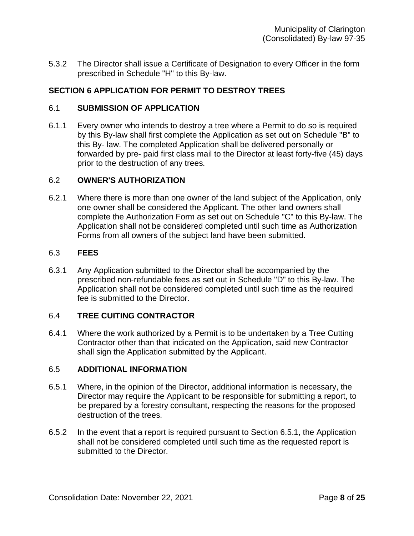5.3.2 The Director shall issue a Certificate of Designation to every Officer in the form prescribed in Schedule "H" to this By-law.

## **SECTION 6 APPLICATION FOR PERMIT TO DESTROY TREES**

### 6.1 **SUBMISSION OF APPLICATION**

6.1.1 Every owner who intends to destroy a tree where a Permit to do so is required by this By-law shall first complete the Application as set out on Schedule "B" to this By- law. The completed Application shall be delivered personally or forwarded by pre- paid first class mail to the Director at least forty-five (45) days prior to the destruction of any trees.

### 6.2 **OWNER'S AUTHORIZATION**

6.2.1 Where there is more than one owner of the land subject of the Application, only one owner shall be considered the Applicant. The other land owners shall complete the Authorization Form as set out on Schedule "C" to this By-law. The Application shall not be considered completed until such time as Authorization Forms from all owners of the subject land have been submitted.

### 6.3 **FEES**

6.3.1 Any Application submitted to the Director shall be accompanied by the prescribed non-refundable fees as set out in Schedule "D" to this By-law. The Application shall not be considered completed until such time as the required fee is submitted to the Director.

## 6.4 **TREE CUITING CONTRACTOR**

6.4.1 Where the work authorized by a Permit is to be undertaken by a Tree Cutting Contractor other than that indicated on the Application, said new Contractor shall sign the Application submitted by the Applicant.

### 6.5 **ADDITIONAL INFORMATION**

- 6.5.1 Where, in the opinion of the Director, additional information is necessary, the Director may require the Applicant to be responsible for submitting a report, to be prepared by a forestry consultant, respecting the reasons for the proposed destruction of the trees.
- 6.5.2 In the event that a report is required pursuant to Section 6.5.1, the Application shall not be considered completed until such time as the requested report is submitted to the Director.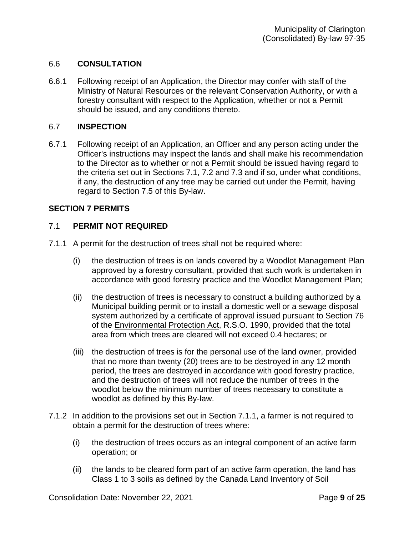## 6.6 **CONSULTATION**

6.6.1 Following receipt of an Application, the Director may confer with staff of the Ministry of Natural Resources or the relevant Conservation Authority, or with a forestry consultant with respect to the Application, whether or not a Permit should be issued, and any conditions thereto.

### 6.7 **INSPECTION**

6.7.1 Following receipt of an Application, an Officer and any person acting under the Officer's instructions may inspect the lands and shall make his recommendation to the Director as to whether or not a Permit should be issued having regard to the criteria set out in Sections 7.1, 7.2 and 7.3 and if so, under what conditions, if any, the destruction of any tree may be carried out under the Permit, having regard to Section 7.5 of this By-law.

## **SECTION 7 PERMITS**

## 7.1 **PERMIT NOT REQUIRED**

- 7.1.1 A permit for the destruction of trees shall not be required where:
	- (i) the destruction of trees is on lands covered by a Woodlot Management Plan approved by a forestry consultant, provided that such work is undertaken in accordance with good forestry practice and the Woodlot Management Plan;
	- (ii) the destruction of trees is necessary to construct a building authorized by a Municipal building permit or to install a domestic well or a sewage disposal system authorized by a certificate of approval issued pursuant to Section 76 of the Environmental Protection Act, R.S.O. 1990, provided that the total area from which trees are cleared will not exceed 0.4 hectares; or
	- (iii) the destruction of trees is for the personal use of the land owner, provided that no more than twenty (20) trees are to be destroyed in any 12 month period, the trees are destroyed in accordance with good forestry practice, and the destruction of trees will not reduce the number of trees in the woodlot below the minimum number of trees necessary to constitute a woodlot as defined by this By-law.
- 7.1.2 In addition to the provisions set out in Section 7.1.1, a farmer is not required to obtain a permit for the destruction of trees where:
	- (i) the destruction of trees occurs as an integral component of an active farm operation; or
	- (ii) the lands to be cleared form part of an active farm operation, the land has Class 1 to 3 soils as defined by the Canada Land Inventory of Soil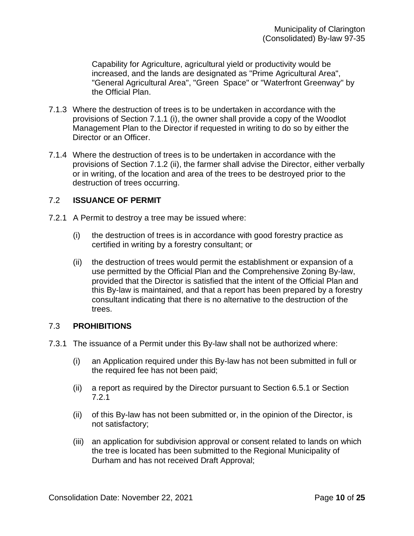Capability for Agriculture, agricultural yield or productivity would be increased, and the lands are designated as "Prime Agricultural Area", "General Agricultural Area", "Green Space" or "Waterfront Greenway" by the Official Plan.

- 7.1.3 Where the destruction of trees is to be undertaken in accordance with the provisions of Section 7.1.1 (i), the owner shall provide a copy of the Woodlot Management Plan to the Director if requested in writing to do so by either the Director or an Officer.
- 7.1.4 Where the destruction of trees is to be undertaken in accordance with the provisions of Section 7.1.2 (ii), the farmer shall advise the Director, either verbally or in writing, of the location and area of the trees to be destroyed prior to the destruction of trees occurring.

## 7.2 **ISSUANCE OF PERMIT**

- 7.2.1 A Permit to destroy a tree may be issued where:
	- (i) the destruction of trees is in accordance with good forestry practice as certified in writing by a forestry consultant; or
	- (ii) the destruction of trees would permit the establishment or expansion of a use permitted by the Official Plan and the Comprehensive Zoning By-law, provided that the Director is satisfied that the intent of the Official Plan and this By-law is maintained, and that a report has been prepared by a forestry consultant indicating that there is no alternative to the destruction of the trees.

## 7.3 **PROHIBITIONS**

- 7.3.1 The issuance of a Permit under this By-law shall not be authorized where:
	- (i) an Application required under this By-law has not been submitted in full or the required fee has not been paid;
	- (ii) a report as required by the Director pursuant to Section 6.5.1 or Section 7.2.1
	- (ii) of this By-law has not been submitted or, in the opinion of the Director, is not satisfactory;
	- (iii) an application for subdivision approval or consent related to lands on which the tree is located has been submitted to the Regional Municipality of Durham and has not received Draft Approval;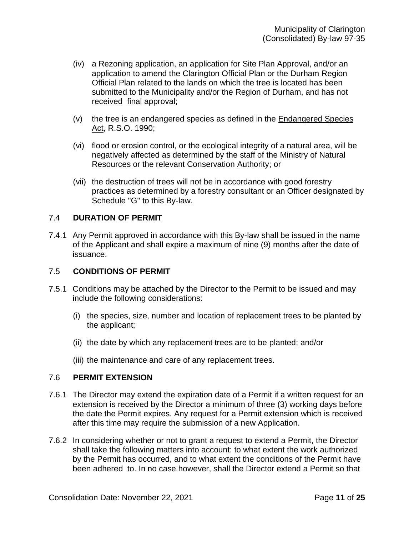- (iv) a Rezoning application, an application for Site Plan Approval, and/or an application to amend the Clarington Official Plan or the Durham Region Official Plan related to the lands on which the tree is located has been submitted to the Municipality and/or the Region of Durham, and has not received final approval;
- (v) the tree is an endangered species as defined in the Endangered Species Act, R.S.O. 1990;
- (vi) flood or erosion control, or the ecological integrity of a natural area, will be negatively affected as determined by the staff of the Ministry of Natural Resources or the relevant Conservation Authority; or
- (vii) the destruction of trees will not be in accordance with good forestry practices as determined by a forestry consultant or an Officer designated by Schedule "G" to this By-law.

## 7.4 **DURATION OF PERMIT**

7.4.1 Any Permit approved in accordance with this By-law shall be issued in the name of the Applicant and shall expire a maximum of nine (9) months after the date of issuance.

#### 7.5 **CONDITIONS OF PERMIT**

- 7.5.1 Conditions may be attached by the Director to the Permit to be issued and may include the following considerations:
	- (i) the species, size, number and location of replacement trees to be planted by the applicant;
	- (ii) the date by which any replacement trees are to be planted; and/or
	- (iii) the maintenance and care of any replacement trees.

#### 7.6 **PERMIT EXTENSION**

- 7.6.1 The Director may extend the expiration date of a Permit if a written request for an extension is received by the Director a minimum of three (3) working days before the date the Permit expires. Any request for a Permit extension which is received after this time may require the submission of a new Application.
- 7.6.2 In considering whether or not to grant a request to extend a Permit, the Director shall take the following matters into account: to what extent the work authorized by the Permit has occurred, and to what extent the conditions of the Permit have been adhered to. In no case however, shall the Director extend a Permit so that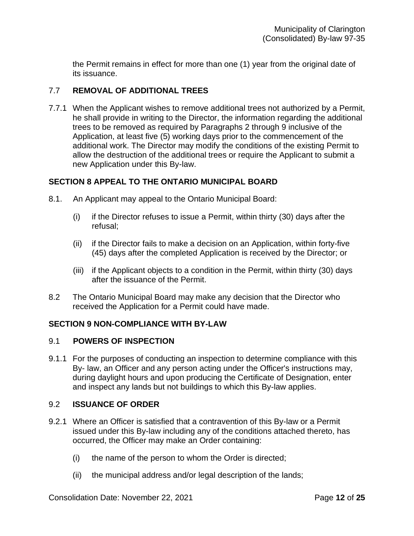the Permit remains in effect for more than one (1) year from the original date of its issuance.

## 7.7 **REMOVAL OF ADDITIONAL TREES**

7.7.1 When the Applicant wishes to remove additional trees not authorized by a Permit, he shall provide in writing to the Director, the information regarding the additional trees to be removed as required by Paragraphs 2 through 9 inclusive of the Application, at least five (5) working days prior to the commencement of the additional work. The Director may modify the conditions of the existing Permit to allow the destruction of the additional trees or require the Applicant to submit a new Application under this By-law.

## **SECTION 8 APPEAL TO THE ONTARIO MUNICIPAL BOARD**

- 8.1. An Applicant may appeal to the Ontario Municipal Board:
	- $(i)$  if the Director refuses to issue a Permit, within thirty (30) days after the refusal;
	- (ii) if the Director fails to make a decision on an Application, within forty-five (45) days after the completed Application is received by the Director; or
	- (iii) if the Applicant objects to a condition in the Permit, within thirty (30) days after the issuance of the Permit.
- 8.2 The Ontario Municipal Board may make any decision that the Director who received the Application for a Permit could have made.

## **SECTION 9 NON-COMPLIANCE WITH BY-LAW**

#### 9.1 **POWERS OF INSPECTION**

9.1.1 For the purposes of conducting an inspection to determine compliance with this By- law, an Officer and any person acting under the Officer's instructions may, during daylight hours and upon producing the Certificate of Designation, enter and inspect any lands but not buildings to which this By-law applies.

#### 9.2 **ISSUANCE OF ORDER**

- 9.2.1 Where an Officer is satisfied that a contravention of this By-law or a Permit issued under this By-law including any of the conditions attached thereto, has occurred, the Officer may make an Order containing:
	- (i) the name of the person to whom the Order is directed;
	- (ii) the municipal address and/or legal description of the lands;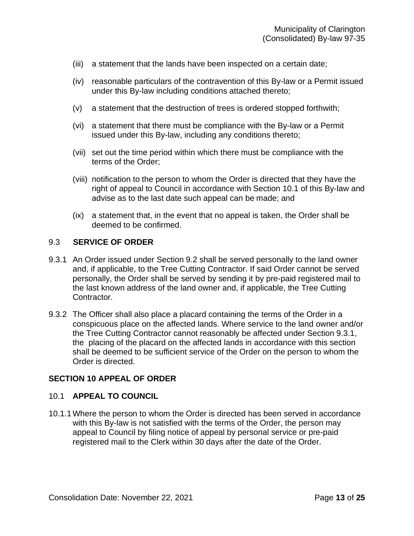- (iii) a statement that the lands have been inspected on a certain date;
- (iv) reasonable particulars of the contravention of this By-law or a Permit issued under this By-law including conditions attached thereto;
- (v) a statement that the destruction of trees is ordered stopped forthwith;
- (vi) a statement that there must be compliance with the By-law or a Permit issued under this By-law, including any conditions thereto;
- (vii) set out the time period within which there must be compliance with the terms of the Order;
- (viii) notification to the person to whom the Order is directed that they have the right of appeal to Council in accordance with Section 10.1 of this By-law and advise as to the last date such appeal can be made; and
- (ix) a statement that, in the event that no appeal is taken, the Order shall be deemed to be confirmed.

### 9.3 **SERVICE OF ORDER**

- 9.3.1 An Order issued under Section 9.2 shall be served personally to the land owner and, if applicable, to the Tree Cutting Contractor. If said Order cannot be served personally, the Order shall be served by sending it by pre-paid registered mail to the last known address of the land owner and, if applicable, the Tree Cutting Contractor.
- 9.3.2 The Officer shall also place a placard containing the terms of the Order in a conspicuous place on the affected lands. Where service to the land owner and/or the Tree Cutting Contractor cannot reasonably be affected under Section 9.3.1, the placing of the placard on the affected lands in accordance with this section shall be deemed to be sufficient service of the Order on the person to whom the Order is directed.

#### **SECTION 10 APPEAL OF ORDER**

#### 10.1 **APPEAL TO COUNCIL**

10.1.1 Where the person to whom the Order is directed has been served in accordance with this By-law is not satisfied with the terms of the Order, the person may appeal to Council by filing notice of appeal by personal service or pre-paid registered mail to the Clerk within 30 days after the date of the Order.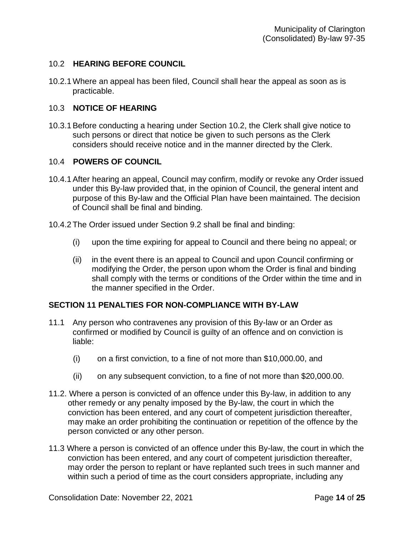## 10.2 **HEARING BEFORE COUNCIL**

10.2.1 Where an appeal has been filed, Council shall hear the appeal as soon as is practicable.

## 10.3 **NOTICE OF HEARING**

10.3.1Before conducting a hearing under Section 10.2, the Clerk shall give notice to such persons or direct that notice be given to such persons as the Clerk considers should receive notice and in the manner directed by the Clerk.

## 10.4 **POWERS OF COUNCIL**

- 10.4.1After hearing an appeal, Council may confirm, modify or revoke any Order issued under this By-law provided that, in the opinion of Council, the general intent and purpose of this By-law and the Official Plan have been maintained. The decision of Council shall be final and binding.
- 10.4.2 The Order issued under Section 9.2 shall be final and binding:
	- (i) upon the time expiring for appeal to Council and there being no appeal; or
	- (ii) in the event there is an appeal to Council and upon Council confirming or modifying the Order, the person upon whom the Order is final and binding shall comply with the terms or conditions of the Order within the time and in the manner specified in the Order.

## **SECTION 11 PENALTIES FOR NON-COMPLIANCE WITH BY-LAW**

- 11.1 Any person who contravenes any provision of this By-law or an Order as confirmed or modified by Council is guilty of an offence and on conviction is liable:
	- (i) on a first conviction, to a fine of not more than \$10,000.00, and
	- (ii) on any subsequent conviction, to a fine of not more than \$20,000.00.
- 11.2. Where a person is convicted of an offence under this By-law, in addition to any other remedy or any penalty imposed by the By-law, the court in which the conviction has been entered, and any court of competent jurisdiction thereafter, may make an order prohibiting the continuation or repetition of the offence by the person convicted or any other person.
- 11.3 Where a person is convicted of an offence under this By-law, the court in which the conviction has been entered, and any court of competent jurisdiction thereafter, may order the person to replant or have replanted such trees in such manner and within such a period of time as the court considers appropriate, including any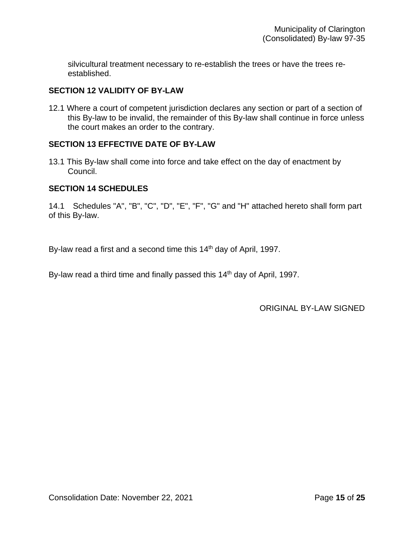silvicultural treatment necessary to re-establish the trees or have the trees reestablished.

## **SECTION 12 VALIDITY OF BY-LAW**

12.1 Where a court of competent jurisdiction declares any section or part of a section of this By-law to be invalid, the remainder of this By-law shall continue in force unless the court makes an order to the contrary.

## **SECTION 13 EFFECTIVE DATE OF BY-LAW**

13.1 This By-law shall come into force and take effect on the day of enactment by Council.

## **SECTION 14 SCHEDULES**

14.1 Schedules "A", "B", "C", "D", "E", "F", "G" and "H" attached hereto shall form part of this By-law.

By-law read a first and a second time this  $14<sup>th</sup>$  day of April, 1997.

By-law read a third time and finally passed this 14<sup>th</sup> day of April, 1997.

ORIGINAL BY-LAW SIGNED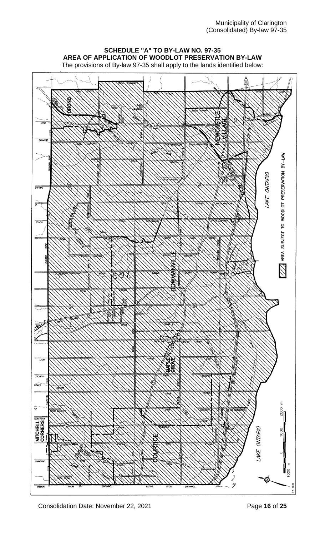# **SCHEDULE "A" TO BY-LAW NO. 97-35 AREA OF APPLICATION OF WOODLOT PRESERVATION BY-LAW**

The provisions of By-law 97-35 shall apply to the lands identified below:



Consolidation Date: November 22, 2021 **Page 16** of 25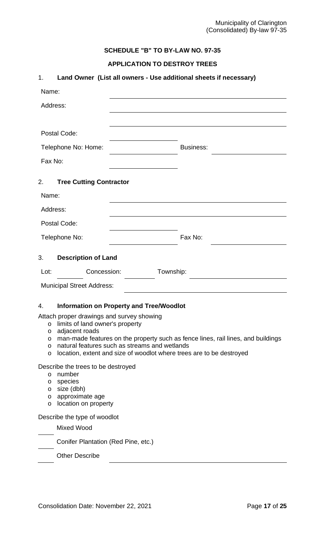## **SCHEDULE "B" TO BY-LAW NO. 97-35**

## **APPLICATION TO DESTROY TREES**

| 1.                                                  |                                                                                                                  | Land Owner (List all owners - Use additional sheets if necessary)                                                                                                                                         |
|-----------------------------------------------------|------------------------------------------------------------------------------------------------------------------|-----------------------------------------------------------------------------------------------------------------------------------------------------------------------------------------------------------|
| Name:                                               |                                                                                                                  |                                                                                                                                                                                                           |
| Address:                                            |                                                                                                                  |                                                                                                                                                                                                           |
|                                                     |                                                                                                                  |                                                                                                                                                                                                           |
|                                                     | Postal Code:                                                                                                     |                                                                                                                                                                                                           |
|                                                     | Telephone No: Home:                                                                                              | <b>Business:</b>                                                                                                                                                                                          |
| Fax No:                                             |                                                                                                                  |                                                                                                                                                                                                           |
| 2.                                                  | <b>Tree Cutting Contractor</b>                                                                                   |                                                                                                                                                                                                           |
| Name:                                               |                                                                                                                  |                                                                                                                                                                                                           |
| Address:                                            |                                                                                                                  |                                                                                                                                                                                                           |
|                                                     | Postal Code:                                                                                                     |                                                                                                                                                                                                           |
|                                                     | Telephone No:                                                                                                    | Fax No:                                                                                                                                                                                                   |
| 3.                                                  | <b>Description of Land</b>                                                                                       |                                                                                                                                                                                                           |
| Lot:                                                | Concession:                                                                                                      | Township:                                                                                                                                                                                                 |
|                                                     | <b>Municipal Street Address:</b>                                                                                 |                                                                                                                                                                                                           |
| 4.                                                  |                                                                                                                  | <b>Information on Property and Tree/Woodlot</b>                                                                                                                                                           |
| $\circ$<br>$\circ$<br>$\circ$<br>$\circ$<br>$\circ$ | Attach proper drawings and survey showing<br>limits of land owner's property<br>adjacent roads                   | man-made features on the property such as fence lines, rail lines, and buildings<br>natural features such as streams and wetlands<br>location, extent and size of woodlot where trees are to be destroyed |
| $\circ$<br>$\circ$<br>$\circ$<br>$\circ$<br>$\circ$ | Describe the trees to be destroyed<br>number<br>species<br>size (dbh)<br>approximate age<br>location on property |                                                                                                                                                                                                           |
|                                                     |                                                                                                                  |                                                                                                                                                                                                           |
|                                                     | Describe the type of woodlot                                                                                     |                                                                                                                                                                                                           |
|                                                     | <b>Mixed Wood</b>                                                                                                |                                                                                                                                                                                                           |
|                                                     | Conifer Plantation (Red Pine, etc.)                                                                              |                                                                                                                                                                                                           |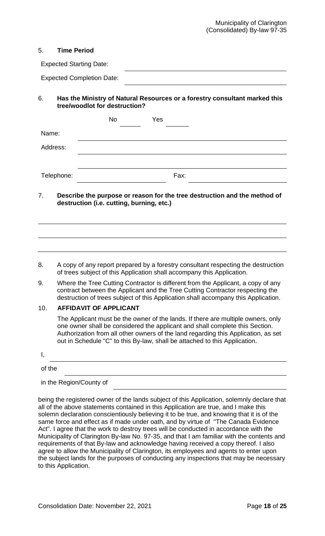### 5. **Time Period**

| <b>Expected Starting Date:</b>   |  |
|----------------------------------|--|
| <b>Expected Completion Date:</b> |  |

## 6. **Has the Ministry of Natural Resources or a forestry consultant marked this tree/woodlot for destruction?**

|            | No | Yes  |  |
|------------|----|------|--|
| Name:      |    |      |  |
| Address:   |    |      |  |
|            |    |      |  |
| Telephone: |    | Fax: |  |

## 7. **Describe the purpose or reason for the tree destruction and the method of destruction (i.e. cutting, burning, etc.)**

## 8. A copy of any report prepared by a forestry consultant respecting the destruction of trees subject of this Application shall accompany this Application.

9. Where the Tree Cutting Contractor is different from the Applicant, a copy of any contract between the Applicant and the Tree Cutting Contractor respecting the destruction of trees subject of this Application shall accompany this Application.

### 10. **AFFIDAVIT OF APPLICANT**

The Applicant must be the owner of the lands. If there are multiple owners, only one owner shall be considered the applicant and shall complete this Section. Authorization from all other owners of the land regarding this Application, as set out in Schedule "C" to this By-law, shall be attached to this Application.

| п,     |  |  |  |
|--------|--|--|--|
| of the |  |  |  |

in the Region/County of

being the registered owner of the lands subject of this Application, solemnly declare that all of the above statements contained in this Application are true, and I make this solemn declaration conscientiously believing it to be true, and knowing that it is of the same force and effect as if made under oath, and by virtue of "The Canada Evidence Act". I agree that the work to destroy trees will be conducted in accordance with the Municipality of Clarington By-law No. 97-35, and that I am familiar with the contents and requirements of that By-law and acknowledge having received a copy thereof. I also agree to allow the Municipality of Clarington, its employees and agents to enter upon the subject lands for the purposes of conducting any inspections that may be necessary to this Application.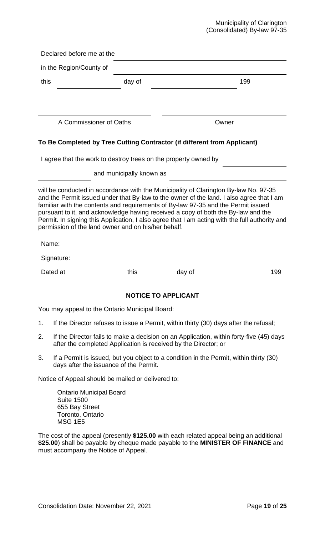### Municipality of Clarington (Consolidated) By-law 97-35

|      | Declared before me at the                                                                                   |                                                                 |                                                                                                                                                                                                                                                                                                                                                                                                                                                              |     |
|------|-------------------------------------------------------------------------------------------------------------|-----------------------------------------------------------------|--------------------------------------------------------------------------------------------------------------------------------------------------------------------------------------------------------------------------------------------------------------------------------------------------------------------------------------------------------------------------------------------------------------------------------------------------------------|-----|
|      | in the Region/County of                                                                                     |                                                                 |                                                                                                                                                                                                                                                                                                                                                                                                                                                              |     |
| this |                                                                                                             | day of                                                          |                                                                                                                                                                                                                                                                                                                                                                                                                                                              | 199 |
|      |                                                                                                             |                                                                 |                                                                                                                                                                                                                                                                                                                                                                                                                                                              |     |
|      | A Commissioner of Oaths                                                                                     |                                                                 | Owner                                                                                                                                                                                                                                                                                                                                                                                                                                                        |     |
|      |                                                                                                             |                                                                 | To Be Completed by Tree Cutting Contractor (if different from Applicant)                                                                                                                                                                                                                                                                                                                                                                                     |     |
|      |                                                                                                             | I agree that the work to destroy trees on the property owned by |                                                                                                                                                                                                                                                                                                                                                                                                                                                              |     |
|      |                                                                                                             | and municipally known as                                        |                                                                                                                                                                                                                                                                                                                                                                                                                                                              |     |
|      | Name:                                                                                                       | permission of the land owner and on his/her behalf.             | will be conducted in accordance with the Municipality of Clarington By-law No. 97-35<br>and the Permit issued under that By-law to the owner of the land. I also agree that I am<br>familiar with the contents and requirements of By-law 97-35 and the Permit issued<br>pursuant to it, and acknowledge having received a copy of both the By-law and the<br>Permit. In signing this Application, I also agree that I am acting with the full authority and |     |
|      |                                                                                                             |                                                                 |                                                                                                                                                                                                                                                                                                                                                                                                                                                              |     |
|      | Signature:<br>Dated at                                                                                      | this                                                            |                                                                                                                                                                                                                                                                                                                                                                                                                                                              | 199 |
|      |                                                                                                             |                                                                 | day of                                                                                                                                                                                                                                                                                                                                                                                                                                                       |     |
|      |                                                                                                             |                                                                 | <b>NOTICE TO APPLICANT</b>                                                                                                                                                                                                                                                                                                                                                                                                                                   |     |
|      |                                                                                                             | You may appeal to the Ontario Municipal Board:                  |                                                                                                                                                                                                                                                                                                                                                                                                                                                              |     |
| 1.   |                                                                                                             |                                                                 | If the Director refuses to issue a Permit, within thirty (30) days after the refusal;                                                                                                                                                                                                                                                                                                                                                                        |     |
| 2.   |                                                                                                             |                                                                 | If the Director fails to make a decision on an Application, within forty-five (45) days<br>after the completed Application is received by the Director; or                                                                                                                                                                                                                                                                                                   |     |
| 3.   |                                                                                                             | days after the issuance of the Permit.                          | If a Permit is issued, but you object to a condition in the Permit, within thirty (30)                                                                                                                                                                                                                                                                                                                                                                       |     |
|      |                                                                                                             | Notice of Appeal should be mailed or delivered to:              |                                                                                                                                                                                                                                                                                                                                                                                                                                                              |     |
|      | <b>Ontario Municipal Board</b><br><b>Suite 1500</b><br>655 Bay Street<br>Toronto, Ontario<br><b>MSG 1E5</b> |                                                                 |                                                                                                                                                                                                                                                                                                                                                                                                                                                              |     |
|      |                                                                                                             |                                                                 | The cost of the appeal (presently \$125.00 with each related appeal being an additional<br>\$25.00) shall be payable by cheque made payable to the MINISTER OF FINANCE and                                                                                                                                                                                                                                                                                   |     |

must accompany the Notice of Appeal.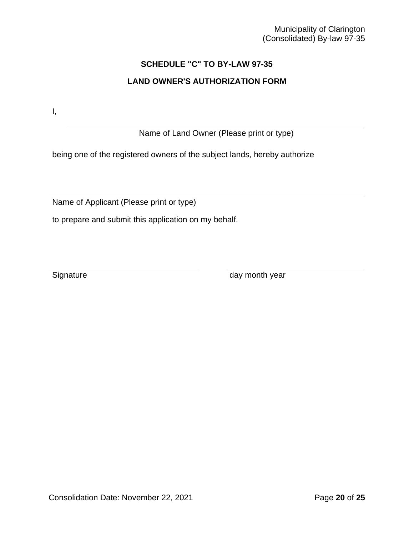## **SCHEDULE "C" TO BY-LAW 97-35**

## **LAND OWNER'S AUTHORIZATION FORM**

I,

Name of Land Owner (Please print or type)

being one of the registered owners of the subject lands, hereby authorize

Name of Applicant (Please print or type)

to prepare and submit this application on my behalf.

Signature day month year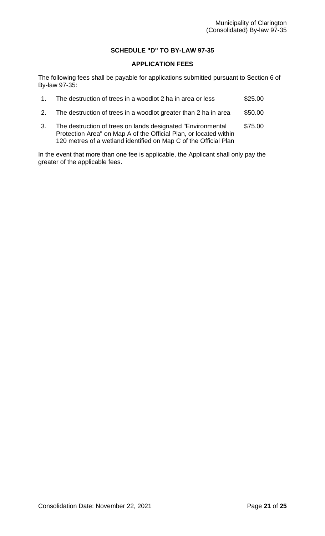## **SCHEDULE "D" TO BY-LAW 97-35**

## **APPLICATION FEES**

The following fees shall be payable for applications submitted pursuant to Section 6 of By-law 97-35:

|                | The destruction of trees in a woodlot 2 ha in area or less                                                                        | \$25.00 |
|----------------|-----------------------------------------------------------------------------------------------------------------------------------|---------|
| 2 <sup>2</sup> | The destruction of trees in a woodlot greater than 2 ha in area                                                                   | \$50.00 |
|                | The destruction of trees on lands designated "Environmental"<br>Protection Area" on Map A of the Official Plan, or located within | \$75.00 |

120 metres of a wetland identified on Map C of the Official Plan

In the event that more than one fee is applicable, the Applicant shall only pay the greater of the applicable fees.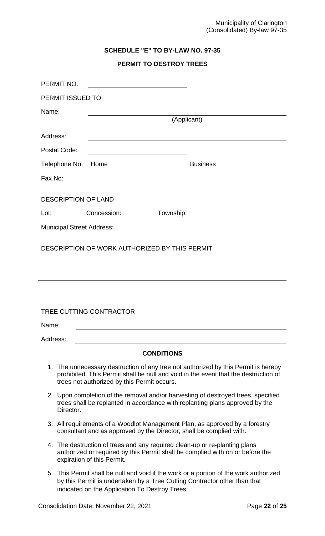## **SCHEDULE "E" TO BY-LAW NO. 97-35**

# **PERMIT TO DESTROY TREES**

| PERMIT NO.                       |                                                                                                                             |                                                                                                                                                                           |
|----------------------------------|-----------------------------------------------------------------------------------------------------------------------------|---------------------------------------------------------------------------------------------------------------------------------------------------------------------------|
| PERMIT ISSUED TO:                |                                                                                                                             |                                                                                                                                                                           |
| Name:                            |                                                                                                                             |                                                                                                                                                                           |
|                                  |                                                                                                                             | (Applicant)                                                                                                                                                               |
| Address:                         |                                                                                                                             |                                                                                                                                                                           |
| Postal Code:                     | <u> 1989 - Johann Barn, mars ann an t-Amhain Aonaich an t-Aonaich an t-Aonaich ann an t-Aonaich ann an t-Aonaich</u>        |                                                                                                                                                                           |
|                                  |                                                                                                                             | Business _________________                                                                                                                                                |
| Fax No:                          | <u> 1989 - Johann Stoff, amerikansk politiker (d. 1989)</u>                                                                 |                                                                                                                                                                           |
| <b>DESCRIPTION OF LAND</b>       |                                                                                                                             |                                                                                                                                                                           |
| Lot:                             |                                                                                                                             | Concession: Township: Township: 2000 Concession: 2000 Concession: 2000 Concession: 2000 Concession: 2000 Concession:                                                      |
|                                  |                                                                                                                             |                                                                                                                                                                           |
|                                  |                                                                                                                             |                                                                                                                                                                           |
|                                  | DESCRIPTION OF WORK AUTHORIZED BY THIS PERMIT                                                                               |                                                                                                                                                                           |
|                                  |                                                                                                                             |                                                                                                                                                                           |
|                                  |                                                                                                                             |                                                                                                                                                                           |
|                                  |                                                                                                                             |                                                                                                                                                                           |
| <b>TREE CUTTING CONTRACTOR</b>   |                                                                                                                             |                                                                                                                                                                           |
| Name:                            |                                                                                                                             |                                                                                                                                                                           |
| Address:                         |                                                                                                                             |                                                                                                                                                                           |
|                                  | <b>CONDITIONS</b>                                                                                                           |                                                                                                                                                                           |
|                                  | trees not authorized by this Permit occurs.                                                                                 | 1. The unnecessary destruction of any tree not authorized by this Permit is hereby<br>prohibited. This Permit shall be null and void in the event that the destruction of |
| Director.                        |                                                                                                                             | 2. Upon completion of the removal and/or harvesting of destroyed trees, specified<br>trees shall be replanted in accordance with replanting plans approved by the         |
|                                  | consultant and as approved by the Director, shall be complied with.                                                         | 3. All requirements of a Woodlot Management Plan, as approved by a forestry                                                                                               |
| 4.<br>expiration of this Permit. | The destruction of trees and any required clean-up or re-planting plans                                                     | authorized or required by this Permit shall be complied with on or before the                                                                                             |
| 5.                               | by this Permit is undertaken by a Tree Cutting Contractor other than that<br>indicated on the Application To Destroy Trees. | This Permit shall be null and void if the work or a portion of the work authorized                                                                                        |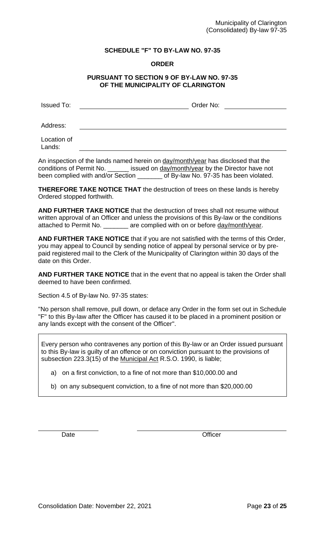## **SCHEDULE "F" TO BY-LAW NO. 97-35**

### **ORDER**

### **PURSUANT TO SECTION 9 OF BY-LAW NO. 97-35 OF THE MUNICIPALITY OF CLARINGTON**

| <b>Issued To:</b> | Order No: |
|-------------------|-----------|
|                   |           |
| Address:          |           |
| Location of       |           |
| Lands:            |           |

An inspection of the lands named herein on day/month/year has disclosed that the conditions of Permit No. \_\_\_\_\_\_ issued on day/month/year by the Director have not been complied with and/or Section \_\_\_\_\_\_\_ of By-law No. 97-35 has been violated.

**THEREFORE TAKE NOTICE THAT** the destruction of trees on these lands is hereby Ordered stopped forthwith.

**AND FURTHER TAKE NOTICE** that the destruction of trees shall not resume without written approval of an Officer and unless the provisions of this By-law or the conditions attached to Permit No. \_\_\_\_\_\_\_ are complied with on or before day/month/year.

**AND FURTHER TAKE NOTICE** that if you are not satisfied with the terms of this Order, you may appeal to Council by sending notice of appeal by personal service or by prepaid registered mail to the Clerk of the Municipality of Clarington within 30 days of the date on this Order.

**AND FURTHER TAKE NOTICE** that in the event that no appeal is taken the Order shall deemed to have been confirmed.

Section 4.5 of By-law No. 97-35 states:

"No person shall remove, pull down, or deface any Order in the form set out in Schedule "F" to this By-law after the Officer has caused it to be placed in a prominent position or any lands except with the consent of the Officer".

Every person who contravenes any portion of this By-law or an Order issued pursuant to this By-law is guilty of an offence or on conviction pursuant to the provisions of subsection 223.3(15) of the Municipal Act R.S.O. 1990, is liable;

- a) on a first conviction, to a fine of not more than \$10,000.00 and
- b) on any subsequent conviction, to a fine of not more than \$20,000.00

Date **Date Date Officer**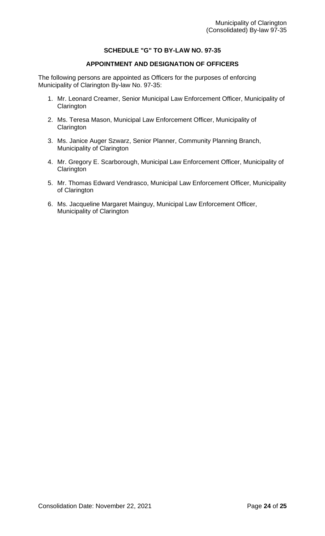## **SCHEDULE "G" TO BY-LAW NO. 97-35**

## **APPOINTMENT AND DESIGNATION OF OFFICERS**

The following persons are appointed as Officers for the purposes of enforcing Municipality of Clarington By-law No. 97-35:

- 1. Mr. Leonard Creamer, Senior Municipal Law Enforcement Officer, Municipality of **Clarington**
- 2. Ms. Teresa Mason, Municipal Law Enforcement Officer, Municipality of **Clarington**
- 3. Ms. Janice Auger Szwarz, Senior Planner, Community Planning Branch, Municipality of Clarington
- 4. Mr. Gregory E. Scarborough, Municipal Law Enforcement Officer, Municipality of **Clarington**
- 5. Mr. Thomas Edward Vendrasco, Municipal Law Enforcement Officer, Municipality of Clarington
- 6. Ms. Jacqueline Margaret Mainguy, Municipal Law Enforcement Officer, Municipality of Clarington